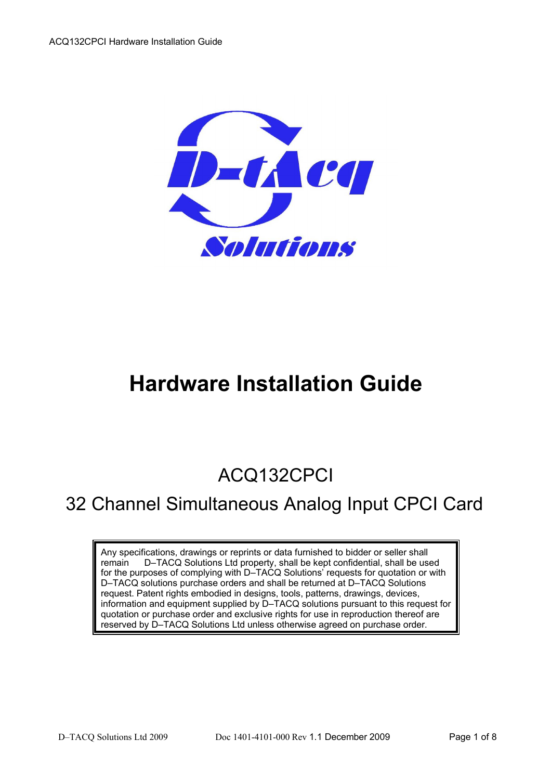

# **Hardware Installation Guide**

## ACQ132CPCI

## 32 Channel Simultaneous Analog Input CPCI Card

Any specifications, drawings or reprints or data furnished to bidder or seller shall remain D–TACQ Solutions Ltd property, shall be kept confidential, shall be used for the purposes of complying with D–TACQ Solutions' requests for quotation or with D–TACQ solutions purchase orders and shall be returned at D–TACQ Solutions request. Patent rights embodied in designs, tools, patterns, drawings, devices, information and equipment supplied by D–TACQ solutions pursuant to this request for quotation or purchase order and exclusive rights for use in reproduction thereof are reserved by D–TACQ Solutions Ltd unless otherwise agreed on purchase order.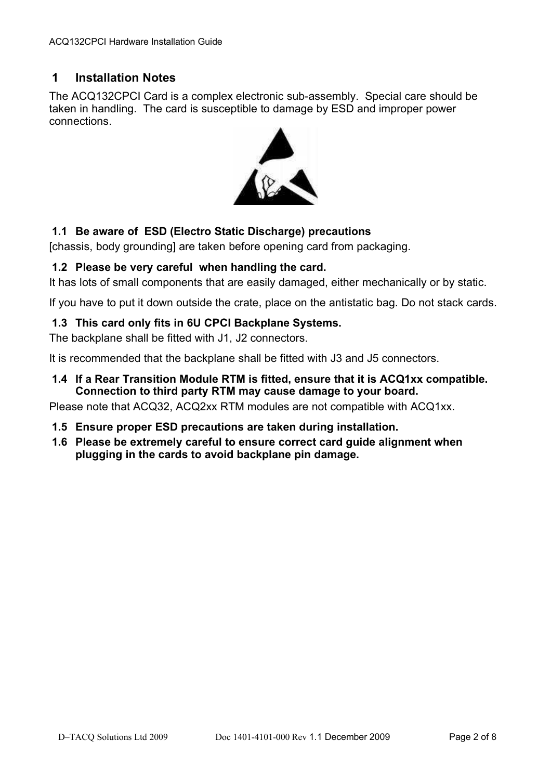#### **1 Installation Notes**

The ACQ132CPCI Card is a complex electronic sub-assembly. Special care should be taken in handling. The card is susceptible to damage by ESD and improper power connections.



#### **1.1 Be aware of ESD (Electro Static Discharge) precautions**

[chassis, body grounding] are taken before opening card from packaging.

#### **1.2 Please be very careful when handling the card.**

It has lots of small components that are easily damaged, either mechanically or by static.

If you have to put it down outside the crate, place on the antistatic bag. Do not stack cards.

#### **1.3 This card only fits in 6U CPCI Backplane Systems.**

The backplane shall be fitted with J1, J2 connectors.

It is recommended that the backplane shall be fitted with J3 and J5 connectors.

**1.4 If a Rear Transition Module RTM is fitted, ensure that it is ACQ1xx compatible. Connection to third party RTM may cause damage to your board.** 

Please note that ACQ32, ACQ2xx RTM modules are not compatible with ACQ1xx.

- **1.5 Ensure proper ESD precautions are taken during installation.**
- **1.6 Please be extremely careful to ensure correct card guide alignment when plugging in the cards to avoid backplane pin damage.**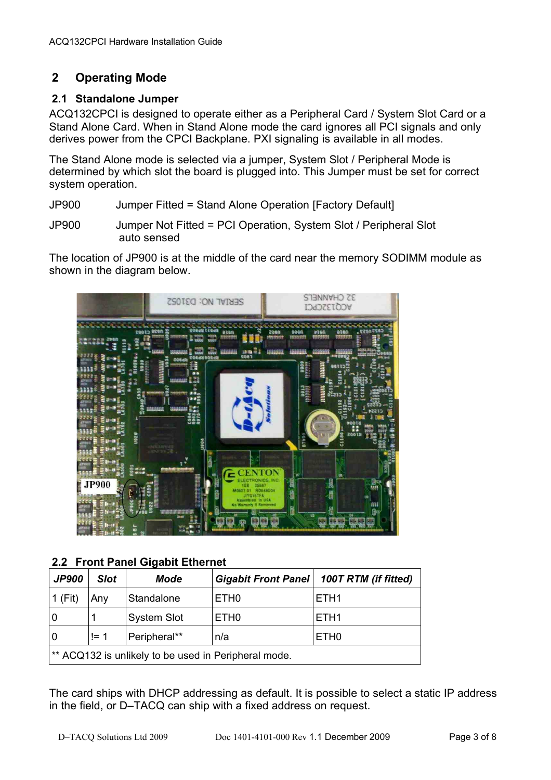### **2 Operating Mode**

#### **2.1 Standalone Jumper**

ACQ132CPCI is designed to operate either as a Peripheral Card / System Slot Card or a Stand Alone Card. When in Stand Alone mode the card ignores all PCI signals and only derives power from the CPCI Backplane. PXI signaling is available in all modes.

The Stand Alone mode is selected via a jumper, System Slot / Peripheral Mode is determined by which slot the board is plugged into. This Jumper must be set for correct system operation.

- JP900 Jumper Fitted = Stand Alone Operation [Factory Default]
- JP900 Jumper Not Fitted = PCI Operation, System Slot / Peripheral Slot auto sensed

The location of JP900 is at the middle of the card near the memory SODIMM module as shown in the diagram below.



**2.2 Front Panel Gigabit Ethernet**

| <b>JP900</b>                                         | <b>Slot</b> | <b>Mode</b>        |                  | Gigabit Front Panel   100T RTM (if fitted) |  |
|------------------------------------------------------|-------------|--------------------|------------------|--------------------------------------------|--|
| 1 (Fit)                                              | Anv         | Standalone         | ETH <sub>0</sub> | ETH <sub>1</sub>                           |  |
| 10                                                   |             | <b>System Slot</b> | ETH <sub>0</sub> | ETH <sub>1</sub>                           |  |
| l 0                                                  | $!= 1$      | Peripheral**       | n/a              | ETH <sub>0</sub>                           |  |
| ** ACQ132 is unlikely to be used in Peripheral mode. |             |                    |                  |                                            |  |

The card ships with DHCP addressing as default. It is possible to select a static IP address in the field, or D–TACQ can ship with a fixed address on request.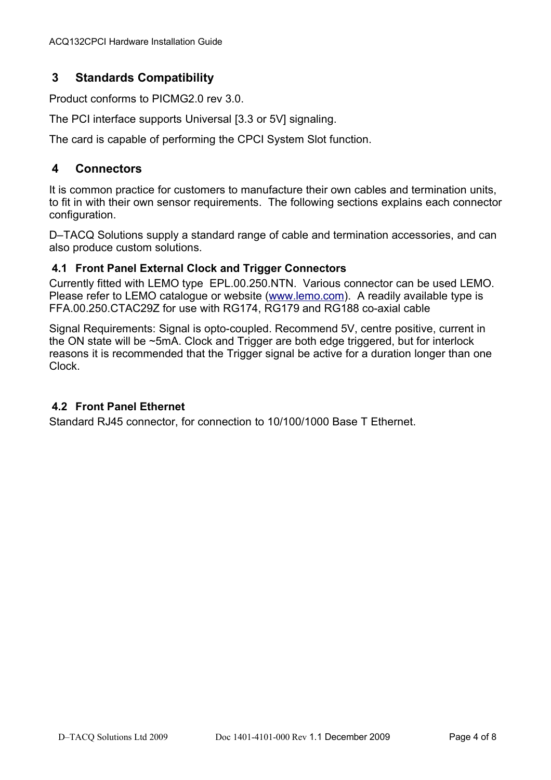### **3 Standards Compatibility**

Product conforms to PICMG2.0 rev 3.0.

The PCI interface supports Universal [3.3 or 5V] signaling.

The card is capable of performing the CPCI System Slot function.

#### **4 Connectors**

It is common practice for customers to manufacture their own cables and termination units, to fit in with their own sensor requirements. The following sections explains each connector configuration.

D–TACQ Solutions supply a standard range of cable and termination accessories, and can also produce custom solutions.

#### **4.1 Front Panel External Clock and Trigger Connectors**

Currently fitted with LEMO type EPL.00.250.NTN. Various connector can be used LEMO. Please refer to LEMO catalogue or website [\(www.lemo.com\)](http://www.lemo.com/). A readily available type is FFA.00.250.CTAC29Z for use with RG174, RG179 and RG188 co-axial cable

Signal Requirements: Signal is opto-coupled. Recommend 5V, centre positive, current in the ON state will be ~5mA. Clock and Trigger are both edge triggered, but for interlock reasons it is recommended that the Trigger signal be active for a duration longer than one Clock.

#### **4.2 Front Panel Ethernet**

Standard RJ45 connector, for connection to 10/100/1000 Base T Ethernet.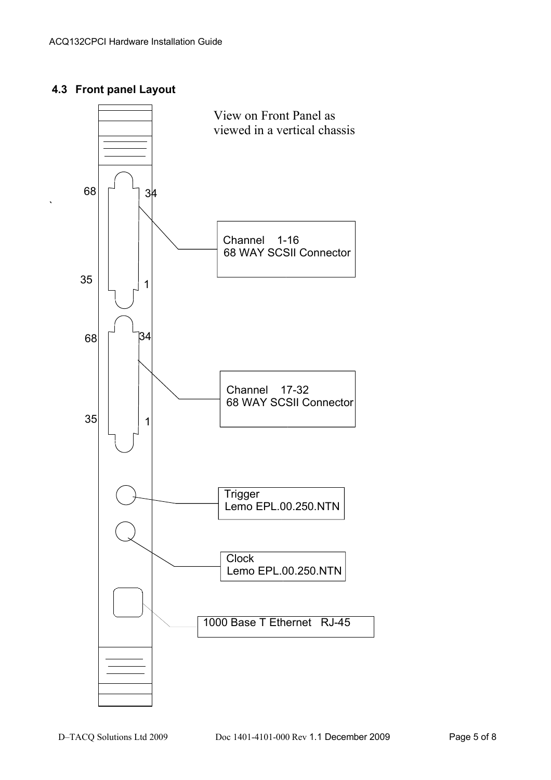#### **4.3 Front panel Layout**

`

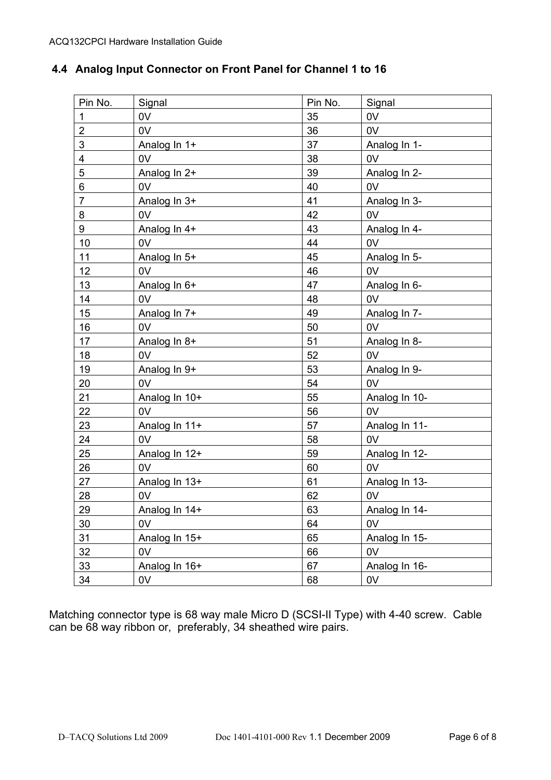## **4.4 Analog Input Connector on Front Panel for Channel 1 to 16**

|                           | Pin No.        | Signal        | Pin No. | Signal         |
|---------------------------|----------------|---------------|---------|----------------|
|                           | $\mathbf{1}$   | 0V            | 35      | 0V             |
| 0V<br>$\overline{2}$<br>3 |                |               | 36      | 0V             |
|                           |                | Analog In 1+  | 37      | Analog In 1-   |
|                           | 4              | 0V            | 38      | 0V             |
|                           | 5              | Analog In 2+  | 39      | Analog In 2-   |
|                           | 6              | 0V            | 40      | 0V             |
|                           | $\overline{7}$ | Analog In 3+  | 41      | Analog In 3-   |
|                           | 8              | 0V            | 42      | 0V             |
|                           | 9              | Analog In 4+  | 43      | Analog In 4-   |
|                           | 10             | 0V            | 44      | 0V             |
|                           | 11             | Analog In 5+  | 45      | Analog In 5-   |
|                           | 12             | 0V            | 46      | 0V             |
|                           | 13             | Analog In 6+  | 47      | Analog In 6-   |
|                           | 14             | 0V            | 48      | 0V             |
|                           | 15             | Analog In 7+  | 49      | Analog In 7-   |
|                           | 16             | 0V            | 50      | 0V             |
|                           | 17             | Analog In 8+  | 51      | Analog In 8-   |
|                           | 18             | 0V            | 52      | 0V             |
|                           | 19             | Analog In 9+  | 53      | Analog In 9-   |
|                           | 20             | 0V            | 54      | 0 <sub>V</sub> |
|                           | 21             | Analog In 10+ | 55      | Analog In 10-  |
|                           | 22             | 0V            | 56      | 0V             |
|                           | 23             | Analog In 11+ | 57      | Analog In 11-  |
|                           | 24             | 0V            | 58      | 0V             |
|                           | 25             | Analog In 12+ | 59      | Analog In 12-  |
|                           | 26             | 0V            | 60      | 0 <sub>V</sub> |
|                           | 27             | Analog In 13+ | 61      | Analog In 13-  |
|                           | 28             | 0V            | 62      | 0V             |
|                           | 29             | Analog In 14+ | 63      | Analog In 14-  |
| 30<br>31<br>32            |                | 0V            | 64      | 0V             |
|                           |                | Analog In 15+ | 65      | Analog In 15-  |
|                           |                | 0V            | 66      | 0V             |
|                           | 33             | Analog In 16+ | 67      | Analog In 16-  |
|                           | 34             | 0V            | 68      | 0V             |
|                           |                |               |         |                |

Matching connector type is 68 way male Micro D (SCSI-II Type) with 4-40 screw. Cable can be 68 way ribbon or, preferably, 34 sheathed wire pairs.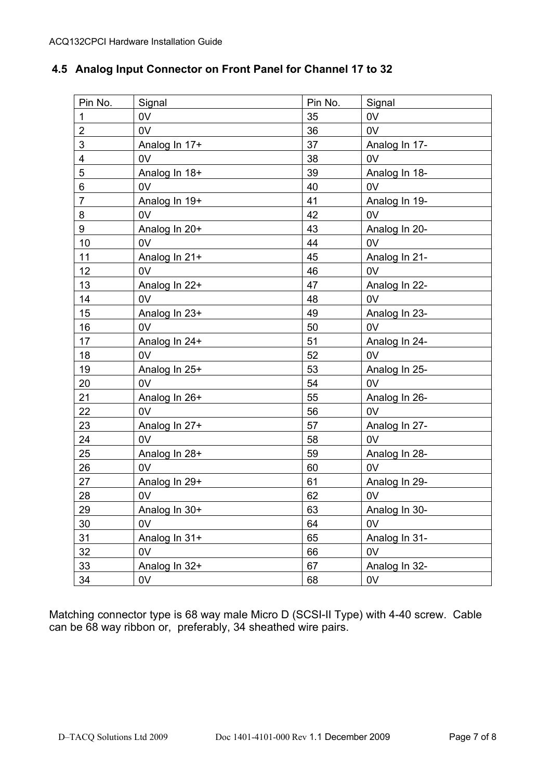|  |  |  |  | 4.5 Analog Input Connector on Front Panel for Channel 17 to 32 |
|--|--|--|--|----------------------------------------------------------------|
|--|--|--|--|----------------------------------------------------------------|

| Pin No.                 | Signal        | Pin No. | Signal        |
|-------------------------|---------------|---------|---------------|
| $\mathbf{1}$            | 0V            | 35      | 0V            |
| $\overline{2}$          | 0V            | 36      | 0V            |
| 3                       | Analog In 17+ | 37      | Analog In 17- |
| $\overline{\mathbf{4}}$ | 0V            | 38      | 0V            |
| 5                       | Analog In 18+ | 39      | Analog In 18- |
| 6                       | 0V            | 40      | 0V            |
| $\overline{7}$          | Analog In 19+ | 41      | Analog In 19- |
| 8                       | 0V            | 42      | 0V            |
| 9                       | Analog In 20+ | 43      | Analog In 20- |
| 10                      | 0V            | 44      | 0V            |
| 11                      | Analog In 21+ | 45      | Analog In 21- |
| 12                      | 0V            | 46      | 0V            |
| 13                      | Analog In 22+ | 47      | Analog In 22- |
| 14                      | 0V            | 48      | 0V            |
| 15                      | Analog In 23+ | 49      | Analog In 23- |
| 16                      | 0V            | 50      | 0V            |
| 17                      | Analog In 24+ | 51      | Analog In 24- |
| 18                      | 0V            | 52      | 0V            |
| 19                      | Analog In 25+ | 53      | Analog In 25- |
| 20                      | 0V            | 54      | 0V            |
| 21                      | Analog In 26+ | 55      | Analog In 26- |
| 22                      | 0V            | 56      | 0V            |
| 23                      | Analog In 27+ | 57      | Analog In 27- |
| 24                      | 0V            | 58      | 0V            |
| 25                      | Analog In 28+ | 59      | Analog In 28- |
| 26                      | 0V            | 60      | 0V            |
| 27                      | Analog In 29+ | 61      | Analog In 29- |
| 28                      | 0V            | 62      | 0V            |
| 29                      | Analog In 30+ | 63      | Analog In 30- |
| 30                      | 0V            | 64      | 0V            |
| 31                      | Analog In 31+ | 65      | Analog In 31- |
| 32                      | 0V            | 66      | 0V            |
| 33                      | Analog In 32+ | 67      | Analog In 32- |
| 34                      | 0V            | 68      | 0V            |

Matching connector type is 68 way male Micro D (SCSI-II Type) with 4-40 screw. Cable can be 68 way ribbon or, preferably, 34 sheathed wire pairs.